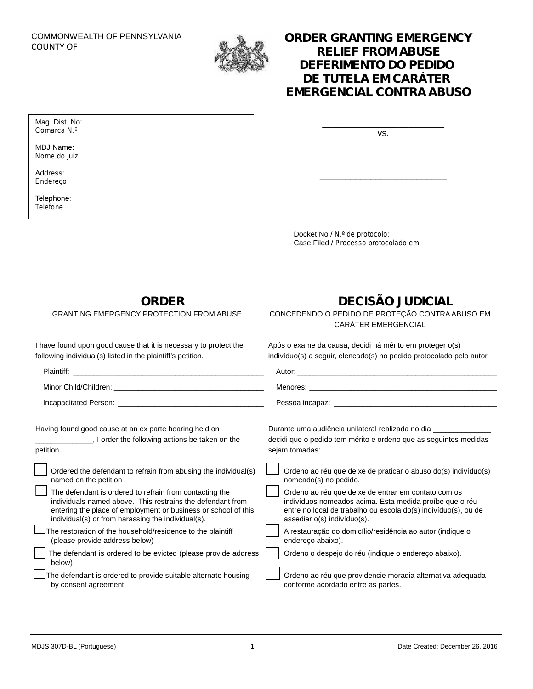# COMMONWEALTH OF PENNSYLVANIA

Mag. Dist. No: *Comarca N.º* MDJ Name: *Nome do juiz*

Address: *Endereço* Telephone: *Telefone*



### COMMONWEALTH OF PENNSYLVANIA<br>COUNTY OF **COUNTY OF SEARCH AND A STATE FROM A BLISE RELIEF FROM ABUSE** *DEFERIMENTO DO PEDIDO DE TUTELA EM CARÁTER EMERGENCIAL CONTRA ABUSO*

vs.

\_\_\_\_\_\_\_\_\_\_\_\_\_\_\_\_\_\_\_\_\_\_\_\_\_

\_\_\_\_\_\_\_\_\_\_\_\_\_\_\_\_\_\_\_\_\_\_\_\_

Docket No / *N.º de protocolo*: Case Filed / *Processo protocolado em*:

**ORDER**

GRANTING EMERGENCY PROTECTION FROM ABUSE

I have found upon good cause that it is necessary to protect the following individual(s) listed in the plaintiff's petition.

## **DECISÃO JUDICIAL**

CONCEDENDO O PEDIDO DE PROTEÇÃO CONTRA ABUSO EM CARÁTER EMERGENCIAL

Após o exame da causa, decidi há mérito em proteger o(s) indivíduo(s) a seguir, elencado(s) no pedido protocolado pelo autor.

| Minor Child/Children: William School School School School School School School School School School School School School School School School School School School School School School School School School School School Sch                | Menores:<br>the contract of the contract of the contract of the contract of the contract of the                                                                                                                 |
|-----------------------------------------------------------------------------------------------------------------------------------------------------------------------------------------------------------------------------------------------|-----------------------------------------------------------------------------------------------------------------------------------------------------------------------------------------------------------------|
|                                                                                                                                                                                                                                               |                                                                                                                                                                                                                 |
| Having found good cause at an ex parte hearing held on                                                                                                                                                                                        | Durante uma audiência unilateral realizada no dia                                                                                                                                                               |
| I order the following actions be taken on the<br>petition                                                                                                                                                                                     | decidi que o pedido tem mérito e ordeno que as seguintes medidas<br>sejam tomadas:                                                                                                                              |
| Ordered the defendant to refrain from abusing the individual(s)<br>named on the petition                                                                                                                                                      | Ordeno ao réu que deixe de praticar o abuso do(s) indivíduo(s)<br>nomeado(s) no pedido.                                                                                                                         |
| The defendant is ordered to refrain from contacting the<br>individuals named above. This restrains the defendant from<br>entering the place of employment or business or school of this<br>individual(s) or from harassing the individual(s). | Ordeno ao réu que deixe de entrar em contato com os<br>indivíduos nomeados acima. Esta medida proíbe que o réu<br>entre no local de trabalho ou escola do(s) indivíduo(s), ou de<br>assediar o(s) indivíduo(s). |
| The restoration of the household/residence to the plaintiff<br>(please provide address below)                                                                                                                                                 | A restauração do domicílio/residência ao autor (indique o<br>endereço abaixo).                                                                                                                                  |
| The defendant is ordered to be evicted (please provide address<br>below)                                                                                                                                                                      | Ordeno o despejo do réu (indique o endereço abaixo).                                                                                                                                                            |
| The defendant is ordered to provide suitable alternate housing<br>by consent agreement                                                                                                                                                        | Ordeno ao réu que providencie moradia alternativa adequada<br>conforme acordado entre as partes.                                                                                                                |
|                                                                                                                                                                                                                                               |                                                                                                                                                                                                                 |